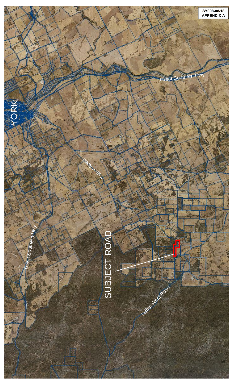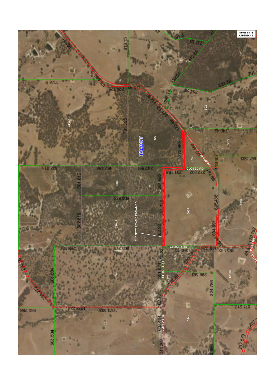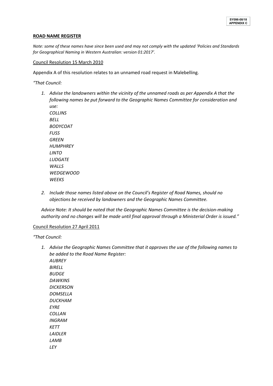## **ROAD NAME REGISTER**

*Note: some of these names have since been used and may not comply with the updated 'Policies and Standards for Geographical Naming in Western Australian: version 01:2017'.*

## Council Resolution 15 March 2010

Appendix A of this resolution relates to an unnamed road request in Malebelling.

*"That Council:*

*1. Advise the landowners within the vicinity of the unnamed roads as per Appendix A that the following names be put forward to the Geographic Names Committee for consideration and use:*

*COLLINS BELL BODYCOAT FUSS GREEN HUMPHREY LINTO LUDGATE WALLS WEDGEWOOD WEEKS*

*2. Include those names listed above on the Council's Register of Road Names, should no objections be received by landowners and the Geographic Names Committee.*

*Advice Note: It should be noted that the Geographic Names Committee is the decision-making authority and no changes will be made until final approval through a Ministerial Order is issued."* 

## Council Resolution 27 April 2011

*"That Council:*

*1. Advise the Geographic Names Committee that it approves the use of the following names to be added to the Road Name Register: AUBREY BIRELL BUDGE DAWKINS DICKERSON DOMSELLA DUCKHAM EYRE COLLAN INGRAM KETT LAIDLER LAMB LEY*